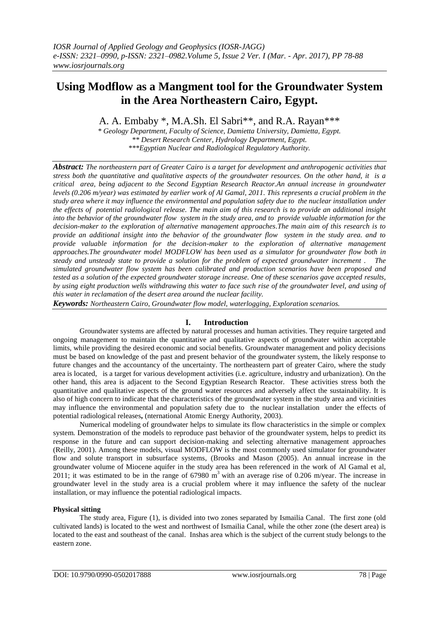# **Using Modflow as a Mangment tool for the Groundwater System in the Area Northeastern Cairo, Egypt.**

A. A. Embaby \*, M.A.Sh. El Sabri\*\*, and R.A. Rayan\*\*\*

*\* Geology Department, Faculty of Science, Damietta University, Damietta, Egypt. \*\* Desert Research Center, Hydrology Department, Egypt. \*\*\*Egyptian Nuclear and Radiological Regulatory Authority.*

*Abstract: The northeastern part of Greater Cairo is a target for development and anthropogenic activities that stress both the quantitative and qualitative aspects of the groundwater resources. On the other hand, it is a critical area, being adjacent to the Second Egyptian Research Reactor.An annual increase in groundwater levels (0.206 m/year) was estimated by earlier work of Al Gamal, 2011. This represents a crucial problem in the study area where it may influence the environmental and population safety due to the nuclear installation under the effects of potential radiological release. The main aim of this research is to provide an additional insight into the behavior of the groundwater flow system in the study area, and to provide valuable information for the decision-maker to the exploration of alternative management approaches.The main aim of this research is to provide an additional insight into the behavior of the groundwater flow system in the study area. and to provide valuable information for the decision-maker to the exploration of alternative management approaches.The groundwater model MODFLOW has been used as a simulator for groundwater flow both in steady and unsteady state to provide a solution for the problem of expected groundwater increment . The simulated groundwater flow system has been calibrated and production scenarios have been proposed and tested as a solution of the expected groundwater storage increase. One of these scenarios gave accepted results, by using eight production wells withdrawing this water to face such rise of the groundwater level, and using of this water in reclamation of the desert area around the nuclear facility.* 

*Keywords: Northeastern Cairo, Groundwater flow model, waterlogging, Exploration scenarios.*

# **I. Introduction**

Groundwater systems are affected by natural processes and human activities. They require targeted and ongoing management to maintain the quantitative and qualitative aspects of groundwater within acceptable limits, while providing the desired economic and social benefits. Groundwater management and policy decisions must be based on knowledge of the past and present behavior of the groundwater system, the likely response to future changes and the accountancy of the uncertainty. The northeastern part of greater Cairo, where the study area is located, is a target for various development activities (i.e. agriculture, industry and urbanization). On the other hand, this area is adjacent to the Second Egyptian Research Reactor. These activities stress both the quantitative and qualitative aspects of the ground water resources and adversely affect the sustainability. It is also of high concern to indicate that the characteristics of the groundwater system in the study area and vicinities may influence the environmental and population safety due to the nuclear installation under the effects of potential radiological releases**,** (nternational Atomic Energy Authority, 2003).

Numerical modeling of groundwater helps to simulate its flow characteristics in the simple or complex system. Demonstration of the models to reproduce past behavior of the groundwater system, helps to predict its response in the future and can support decision-making and selecting alternative management approaches (Reilly, 2001). Among these models, visual MODFLOW is the most commonly used simulator for groundwater flow and solute transport in subsurface systems, (Brooks and Mason (2005). An annual increase in the groundwater volume of Miocene aquifer in the study area has been referenced in the work of Al Gamal et al, 2011; it was estimated to be in the range of  $67980 \text{ m}^3$  with an average rise of 0.206 m/year. The increase in groundwater level in the study area is a crucial problem where it may influence the safety of the nuclear installation, or may influence the potential radiological impacts.

# **Physical sitting**

The study area, Figure (1), is divided into two zones separated by Ismailia Canal. The first zone (old cultivated lands) is located to the west and northwest of Ismailia Canal, while the other zone (the desert area) is located to the east and southeast of the canal. Inshas area which is the subject of the current study belongs to the eastern zone.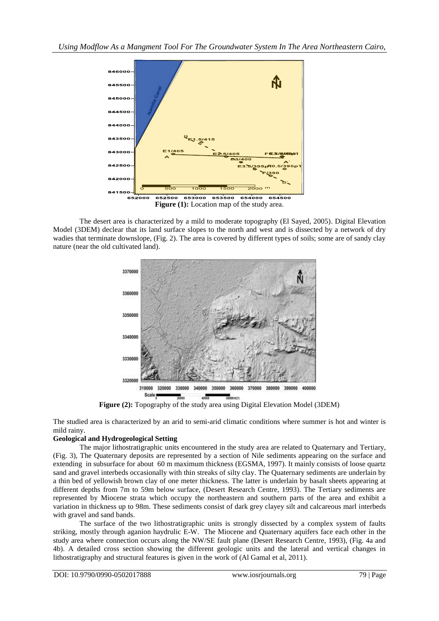

The desert area is characterized by a mild to moderate topography (El Sayed, 2005). Digital Elevation Model (3DEM) declear that its land surface slopes to the north and west and is dissected by a network of dry wadies that terminate downslope, (Fig. 2). The area is covered by different types of soils; some are of sandy clay nature (near the old cultivated land).



**Figure (2):** Topography of the study area using Digital Elevation Model (3DEM)

The studied area is characterized by an arid to semi-arid climatic conditions where summer is hot and winter is mild rainy.

# **Geological and Hydrogeological Setting**

The major lithostratigraphic units encountered in the study area are related to Quaternary and Tertiary, (Fig. 3), The Quaternary deposits are represented by a section of Nile sediments appearing on the surface and extending in subsurface for about 60 m maximum thickness (EGSMA, 1997). It mainly consists of loose quartz sand and gravel interbeds occasionally with thin streaks of silty clay. The Quaternary sediments are underlain by a thin bed of yellowish brown clay of one meter thickness. The latter is underlain by basalt sheets appearing at different depths from 7m to 59m below surface, (Desert Research Centre, 1993). The Tertiary sediments are represented by Miocene strata which occupy the northeastern and southern parts of the area and exhibit a variation in thickness up to 98m. These sediments consist of dark grey clayey silt and calcareous marl interbeds with gravel and sand bands.

The surface of the two lithostratigraphic units is strongly dissected by a complex system of faults striking, mostly through aganion haydrulic E-W. The Miocene and Quaternary aquifers face each other in the study area where connection occurs along the NW/SE fault plane (Desert Research Centre, 1993), (Fig. 4a and 4b). A detailed cross section showing the different geologic units and the lateral and vertical changes in lithostratigraphy and structural features is given in the work of (Al Gamal et al, 2011).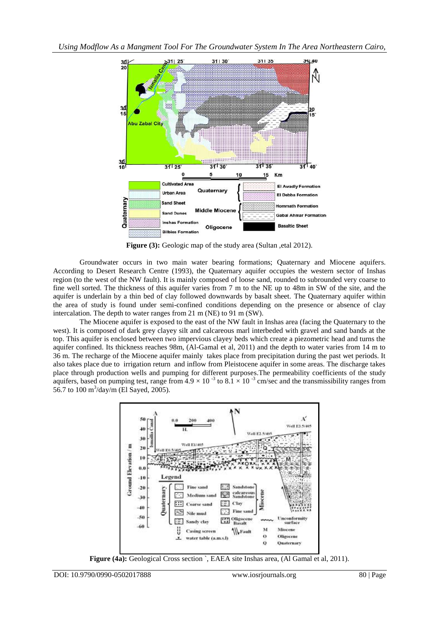

**Figure (3):** Geologic map of the study area (Sultan , etal 2012).

Groundwater occurs in two main water bearing formations; Quaternary and Miocene aquifers. According to Desert Research Centre (1993), the Quaternary aquifer occupies the western sector of Inshas region (to the west of the NW fault). It is mainly composed of loose sand, rounded to subrounded very coarse to fine well sorted. The thickness of this aquifer varies from 7 m to the NE up to 48m in SW of the site, and the aquifer is underlain by a thin bed of clay followed downwards by basalt sheet. The Quaternary aquifer within the area of study is found under semi-confined conditions depending on the presence or absence of clay intercalation. The depth to water ranges from 21 m (NE) to 91 m (SW).

The Miocene aquifer is exposed to the east of the NW fault in Inshas area (facing the Quaternary to the west). It is composed of dark grey clayey silt and calcareous marl interbeded with gravel and sand bands at the top. This aquifer is enclosed between two impervious clayey beds which create a piezometric head and turns the aquifer confined. Its thickness reaches 98m, (Al-Gamal et al, 2011) and the depth to water varies from 14 m to 36 m. The recharge of the Miocene aquifer mainly takes place from precipitation during the past wet periods. It also takes place due to irrigation return and inflow from Pleistocene aquifer in some areas. The discharge takes place through production wells and pumping for different purposes.The permeability coefficients of the study aquifers, based on pumping test, range from  $4.9 \times 10^{-3}$  to  $8.1 \times 10^{-3}$  cm/sec and the transmissibility ranges from 56.7 to 100 m<sup>3</sup>/day/m (El Sayed, 2005).



**Figure (4a):** Geological Cross section `, EAEA site Inshas area, (Al Gamal et al, 2011).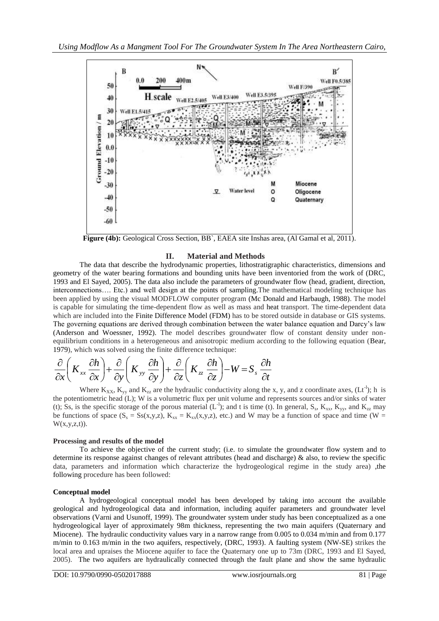

**Figure (4b):** Geological Cross Section, BB`, EAEA site Inshas area, (Al Gamal et al, 2011).

# **II. Material and Methods**

The data that describe the hydrodynamic properties, lithostratigraphic characteristics, dimensions and geometry of the water bearing formations and bounding units have been inventoried from the work of (DRC, 1993 and El Sayed, 2005). The data also include the parameters of groundwater flow (head, gradient, direction, interconnections…. Etc.) and well design at the points of sampling.The mathematical modeling technique has been applied by using the visual MODFLOW computer program (Mc Donald and Harbaugh, 1988). The model is capable for simulating the time-dependent flow as well as mass and heat transport. The time-dependent data which are included into the Finite Difference Model (FDM) has to be stored outside in database or GIS systems. The governing equations are derived through combination between the water balance equation and Darcy's law (Anderson and Woessner, 1992). The model describes groundwater flow of constant density under nonequilibrium conditions in a heterogeneous and anisotropic medium according to the following equation (Bear, 1979), which was solved using the finite difference technique:

$$
\frac{\partial}{\partial x}\left(K_{xx}\frac{\partial h}{\partial x}\right) + \frac{\partial}{\partial y}\left(K_{yy}\frac{\partial h}{\partial y}\right) + \frac{\partial}{\partial z}\left(K_{zz}\frac{\partial h}{\partial z}\right) - W = S_s\frac{\partial h}{\partial t}
$$

Where  $K_{XX}$ ,  $K_{yy}$  and  $K_{zz}$  are the hydraulic conductivity along the x, y, and z coordinate axes, (Lt<sup>-1</sup>); h is the potentiometric head (L); W is a volumetric flux per unit volume and represents sources and/or sinks of water (t); Ss, is the specific storage of the porous material  $(L^{-1})$ ; and t is time (t). In general, S<sub>s</sub>, K<sub>xx</sub>, K<sub>yy</sub>, and K<sub>zz</sub> may be functions of space  $(S_s = S_s(x,y,z), K_{xx} = K_{xx}(x,y,z)$ , etc.) and W may be a function of space and time (W =  $W(x,y,z,t)$ ).

#### **Processing and results of the model**

To achieve the objective of the current study; (i.e. to simulate the groundwater flow system and to determine its response against changes of relevant attributes (head and discharge) & also, to review the specific data, parameters and information which characterize the hydrogeological regime in the study area) ,the following procedure has been followed:

#### **Conceptual model**

A hydrogeological conceptual model has been developed by taking into account the available geological and hydrogeological data and information, including aquifer parameters and groundwater level observations (Varni and Usunoff, 1999). The groundwater system under study has been conceptualized as a one hydrogeological layer of approximately 98m thickness, representing the two main aquifers (Quaternary and Miocene). The hydraulic conductivity values vary in a narrow range from 0.005 to 0.034 m/min and from 0.177 m/min to 0.163 m/min in the two aquifers, respectively, (DRC, 1993). A faulting system (NW-SE) strikes the local area and upraises the Miocene aquifer to face the Quaternary one up to 73m (DRC, 1993 and El Sayed, 2005). The two aquifers are hydraulically connected through the fault plane and show the same hydraulic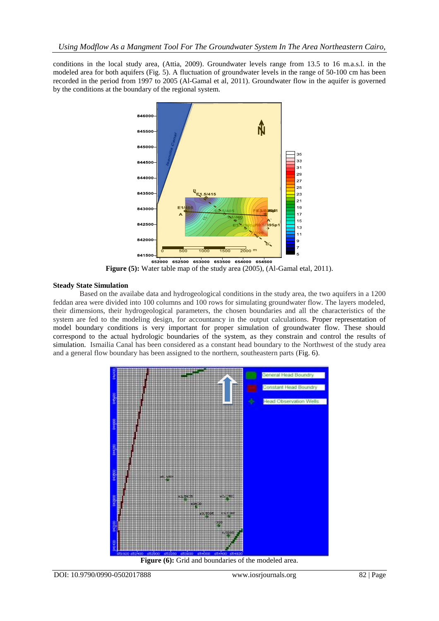conditions in the local study area, (Attia, 2009). Groundwater levels range from 13.5 to 16 m.a.s.l. in the modeled area for both aquifers (Fig. 5). A fluctuation of groundwater levels in the range of 50-100 cm has been recorded in the period from 1997 to 2005 (Al-Gamal et al, 2011). Groundwater flow in the aquifer is governed by the conditions at the boundary of the regional system.



**Figure (5):** Water table map of the study area (2005), (Al-Gamal etal, 2011).

# **Steady State Simulation**

Based on the availabe data and hydrogeological conditions in the study area, the two aquifers in a 1200 feddan area were divided into 100 columns and 100 rows for simulating groundwater flow. The layers modeled, their dimensions, their hydrogeological parameters, the chosen boundaries and all the characteristics of the system are fed to the modeling design, for accountancy in the output calculations. Proper representation of model boundary conditions is very important for proper simulation of groundwater flow. These should correspond to the actual hydrologic boundaries of the system, as they constrain and control the results of simulation. Ismailia Canal has been considered as a constant head boundary to the Northwest of the study area and a general flow boundary has been assigned to the northern, southeastern parts (Fig. 6).



Figure (6): Grid and boundaries of the modeled area.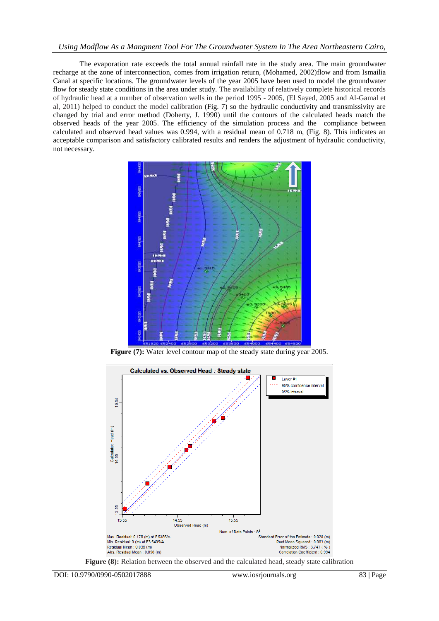#### *Using Modflow As a Mangment Tool For The Groundwater System In The Area Northeastern Cairo,*

The evaporation rate exceeds the total annual rainfall rate in the study area. The main groundwater recharge at the zone of interconnection, comes from irrigation return, (Mohamed, 2002)flow and from Ismailia Canal at specific locations. The groundwater levels of the year 2005 have been used to model the groundwater flow for steady state conditions in the area under study. The availability of relatively complete historical records of hydraulic head at a number of observation wells in the period 1995 - 2005, (El Sayed, 2005 and Al-Gamal et al, 2011) helped to conduct the model calibration (Fig. 7) so the hydraulic conductivity and transmissivity are changed by trial and error method (Doherty, J. 1990) until the contours of the calculated heads match the observed heads of the year 2005. The efficiency of the simulation process and the compliance between calculated and observed head values was 0.994, with a residual mean of 0.718 m, (Fig. 8). This indicates an acceptable comparison and satisfactory calibrated results and renders the adjustment of hydraulic conductivity, not necessary.



**Figure (7):** Water level contour map of the steady state during year 2005.



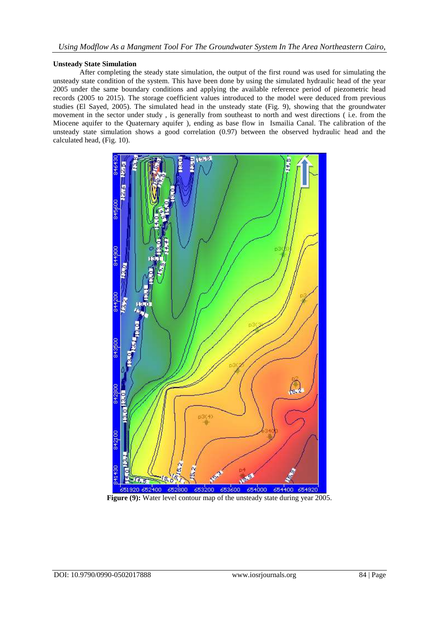#### **Unsteady State Simulation**

After completing the steady state simulation, the output of the first round was used for simulating the unsteady state condition of the system. This have been done by using the simulated hydraulic head of the year 2005 under the same boundary conditions and applying the available reference period of piezometric head records (2005 to 2015). The storage coefficient values introduced to the model were deduced from previous studies (El Sayed, 2005). The simulated head in the unsteady state (Fig. 9), showing that the groundwater movement in the sector under study , is generally from southeast to north and west directions ( i.e. from the Miocene aquifer to the Quaternary aquifer ), ending as base flow in Ismailia Canal. The calibration of the unsteady state simulation shows a good correlation (0.97) between the observed hydraulic head and the calculated head, (Fig. 10).



**Figure (9):** Water level contour map of the unsteady state during year 2005.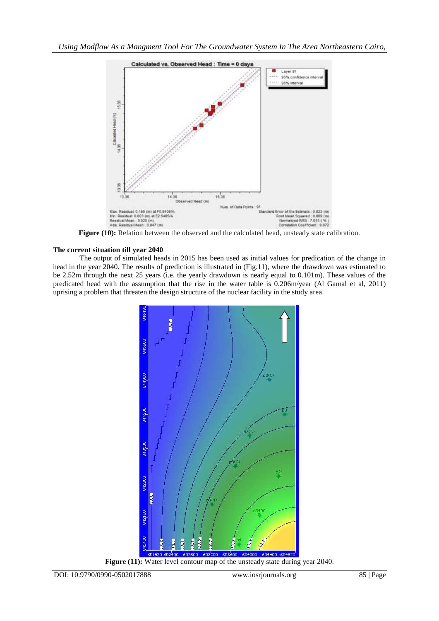

**Figure (10):** Relation between the observed and the calculated head, unsteady state calibration.

# **The current situation till year 2040**

The output of simulated heads in 2015 has been used as initial values for predication of the change in head in the year 2040. The results of prediction is illustrated in (Fig.11), where the drawdown was estimated to be 2.52m through the next 25 years (i.e. the yearly drawdown is nearly equal to 0.101m). These values of the predicated head with the assumption that the rise in the water table is 0.206m/year (Al Gamal et al, 2011) uprising a problem that threaten the design structure of the nuclear facility in the study area.



Figure (11): Water level contour map of the unsteady state during year 2040.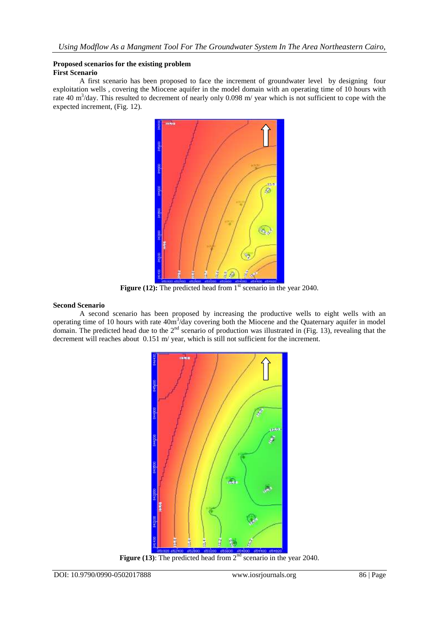#### **Proposed scenarios for the existing problem First Scenario**

A first scenario has been proposed to face the increment of groundwater level by designing four exploitation wells , covering the Miocene aquifer in the model domain with an operating time of 10 hours with rate 40  $\text{m}^3$ /day. This resulted to decrement of nearly only 0.098 m/ year which is not sufficient to cope with the expected increment, (Fig. 12).



**Figure (12):** The predicted head from 1<sup>st</sup> scenario in the year 2040.

# **Second Scenario**

A second scenario has been proposed by increasing the productive wells to eight wells with an operating time of 10 hours with rate  $40m^3$ /day covering both the Miocene and the Quaternary aquifer in model domain. The predicted head due to the  $2<sup>nd</sup>$  scenario of production was illustrated in (Fig. 13), revealing that the decrement will reaches about 0.151 m/ year, which is still not sufficient for the increment.



**Figure (13):** The predicted head from 2<sup>nd</sup> scenario in the year 2040.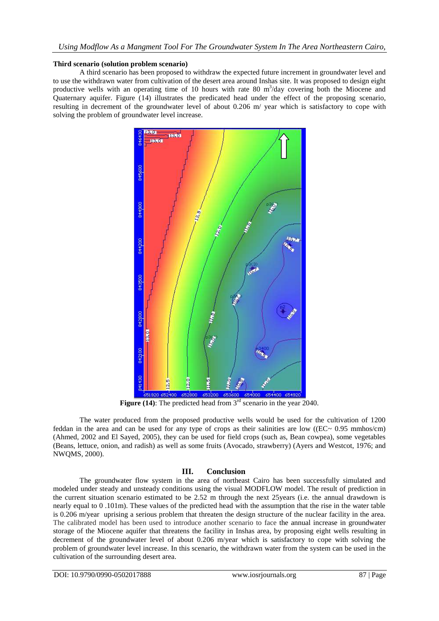#### **Third scenario (solution problem scenario)**

A third scenario has been proposed to withdraw the expected future increment in groundwater level and to use the withdrawn water from cultivation of the desert area around Inshas site. It was proposed to design eight productive wells with an operating time of 10 hours with rate 80 m<sup>3</sup>/day covering both the Miocene and Quaternary aquifer. Figure (14) illustrates the predicated head under the effect of the proposing scenario, resulting in decrement of the groundwater level of about 0.206 m/ year which is satisfactory to cope with solving the problem of groundwater level increase.



**Figure (14):** The predicted head from 3<sup>rd</sup> scenario in the year 2040.

The water produced from the proposed productive wells would be used for the cultivation of 1200 feddan in the area and can be used for any type of crops as their salinities are low ( $(EC \sim 0.95 \text{ mmhos/cm})$ ) (Ahmed, 2002 and El Sayed, 2005), they can be used for field crops (such as, Bean cowpea), some vegetables (Beans, lettuce, onion, and radish) as well as some fruits (Avocado, strawberry) (Ayers and Westcot, 1976; and NWQMS, 2000).

# **III. Conclusion**

The groundwater flow system in the area of northeast Cairo has been successfully simulated and modeled under steady and unsteady conditions using the visual MODFLOW model. The result of prediction in the current situation scenario estimated to be 2.52 m through the next 25years (i.e. the annual drawdown is nearly equal to 0 .101m). These values of the predicted head with the assumption that the rise in the water table is 0.206 m/year uprising a serious problem that threaten the design structure of the nuclear facility in the area. The calibrated model has been used to introduce another scenario to face the annual increase in groundwater storage of the Miocene aquifer that threatens the facility in Inshas area, by proposing eight wells resulting in decrement of the groundwater level of about 0.206 m/year which is satisfactory to cope with solving the problem of groundwater level increase. In this scenario, the withdrawn water from the system can be used in the cultivation of the surrounding desert area.